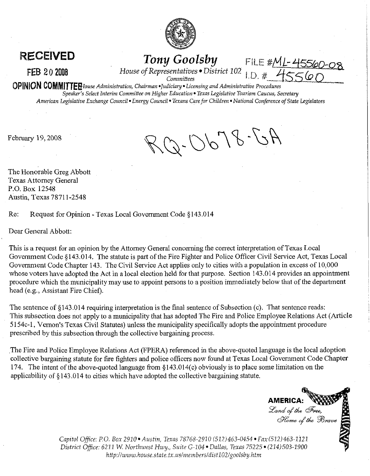

**RECEIVED** Tony Goolsby FILE #ML-45560.<br>FEB 202008 House of Representatives • District 102 I.D. # 455600

**R.3 2** 0 **2008** *House of Representatives \*District* <sup>102</sup>

*Committees* 

**OPINION** *COMMITTEpouse Administration, Chairman \*Judiciary Licensing and Administrative Procedures Speaker's Select Interim Committee on Higher Education Texas Legislative Tourism Caucus, Secretary American Legislative Exchange Council Energy Council Texans Care for Children National Conference* of *State Legislators* 

February 19, 2008

 $A2 - 8700 - D$ 

The Honorable Greg Abbott Texas Attorney General P.O. Box 12548 Austin, Texas 7871 1-2548

Re: Request for Opinion - Texas Local Government Code \$143.014

Dear General Abbott:

This is a request for an opinion by the Attorney General concerning the correct interpretation of Texas Local Government Code \$143.014. The statute is part of the Fire Fighter and Police Officer Civil Service Act, Texas Local Government Code Chapter 143. The Civil Service Act applies only to cities with a population in excess of 10,000 whose voters have adopted the Act in a local election held for that purpose. Section 143.014 provides an appointment procedure which the municipality may use to appoint persons to a position immediately below that of the department head (e.g., Assistant Fire Chief).

The sentence of \$143.014 requiring interpretation is the final sentence of Subsection (c). That sentence reads: This subsection does not apply to a municipality that has adopted The Fire and Police Employee Relations Act (Article 51 54c-1, Vernon's Texas Civil Statutes) unless the municipality specifically adopts the appointment procedure prescribed by this subsection through the collective bargaining process.

The Fire and Police Employee Relations Act (FPERA) referenced in the above-quoted language is the local adoption collective bargaining statute for fire fighters and police officers now found at Texas Local Government Code Chapter 174. The intent of the above-quoted language from \$143.014(c) obviously is to place some limitation on the applicability of 5143.014 to cities which have adopted the collective bargaining statute.

**AMERICA:** Land of the Free,<br>Home of the Brave

*Capitol Office: PO. Box 2910 Austin, Texas 78768-2910 (512)463-0454 Fax(5121463-1121 District Office: 6211 W. Northwest Hwy., Suite G-104 Dallas, Texas 75225 (214)503-1900* http://www.house.state.tx.us/members/dist102/goolsby.htm